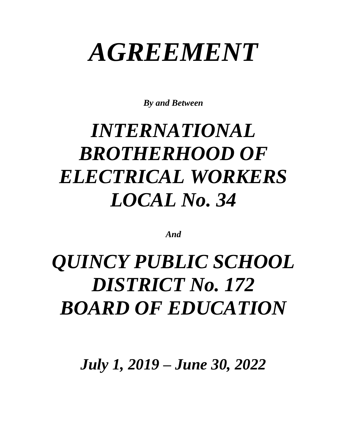# *AGREEMENT*

*By and Between*

# *INTERNATIONAL BROTHERHOOD OF ELECTRICAL WORKERS LOCAL No. 34*

*And*

# *QUINCY PUBLIC SCHOOL DISTRICT No. 172 BOARD OF EDUCATION*

*July 1, 2019 – June 30, 2022*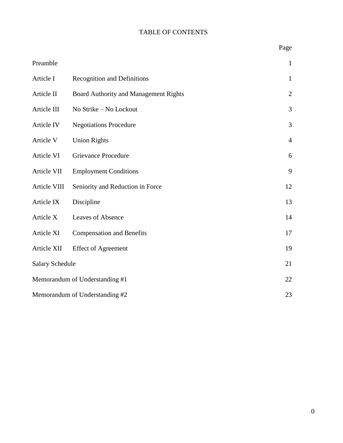## TABLE OF CONTENTS

|                                |                                       | Page           |
|--------------------------------|---------------------------------------|----------------|
| Preamble                       |                                       | $\mathbf{1}$   |
| Article I                      | <b>Recognition and Definitions</b>    | $\mathbf{1}$   |
| Article II                     | Board Authority and Management Rights | $\overline{2}$ |
| Article III                    | No Strike - No Lockout                | 3              |
| Article IV                     | <b>Negotiations Procedure</b>         | 3              |
| Article V                      | <b>Union Rights</b>                   | $\overline{4}$ |
| Article VI                     | <b>Grievance Procedure</b>            | 6              |
| Article VII                    | <b>Employment Conditions</b>          | 9              |
| Article VIII                   | Seniority and Reduction in Force      | 12             |
| Article IX                     | Discipline                            | 13             |
| Article X                      | Leaves of Absence                     | 14             |
| Article XI                     | <b>Compensation and Benefits</b>      | 17             |
| Article XII                    | <b>Effect of Agreement</b>            | 19             |
| <b>Salary Schedule</b>         |                                       | 21             |
| Memorandum of Understanding #1 |                                       |                |
| Memorandum of Understanding #2 |                                       |                |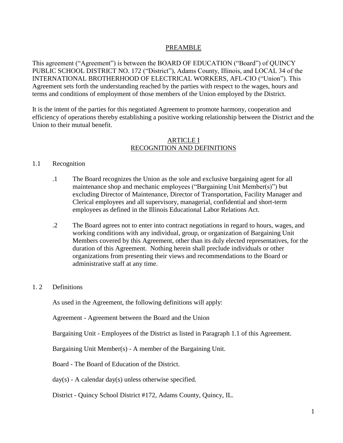#### PREAMBLE

This agreement ("Agreement") is between the BOARD OF EDUCATION ("Board") of QUINCY PUBLIC SCHOOL DISTRICT NO. 172 ("District"), Adams County, Illinois, and LOCAL 34 of the INTERNATIONAL BROTHERHOOD OF ELECTRICAL WORKERS, AFL-CIO ("Union"). This Agreement sets forth the understanding reached by the parties with respect to the wages, hours and terms and conditions of employment of those members of the Union employed by the District.

It is the intent of the parties for this negotiated Agreement to promote harmony, cooperation and efficiency of operations thereby establishing a positive working relationship between the District and the Union to their mutual benefit.

#### ARTICLE I RECOGNITION AND DEFINITIONS

#### 1.1 Recognition

- .1 The Board recognizes the Union as the sole and exclusive bargaining agent for all maintenance shop and mechanic employees ("Bargaining Unit Member(s)") but excluding Director of Maintenance, Director of Transportation, Facility Manager and Clerical employees and all supervisory, managerial, confidential and short-term employees as defined in the Illinois Educational Labor Relations Act.
- .2 The Board agrees not to enter into contract negotiations in regard to hours, wages, and working conditions with any individual, group, or organization of Bargaining Unit Members covered by this Agreement, other than its duly elected representatives, for the duration of this Agreement. Nothing herein shall preclude individuals or other organizations from presenting their views and recommendations to the Board or administrative staff at any time.

#### 1. 2 Definitions

As used in the Agreement, the following definitions will apply:

Agreement - Agreement between the Board and the Union

Bargaining Unit - Employees of the District as listed in Paragraph 1.1 of this Agreement.

Bargaining Unit Member(s) - A member of the Bargaining Unit.

Board - The Board of Education of the District.

 $day(s)$  - A calendar day(s) unless otherwise specified.

District - Quincy School District #172, Adams County, Quincy, IL.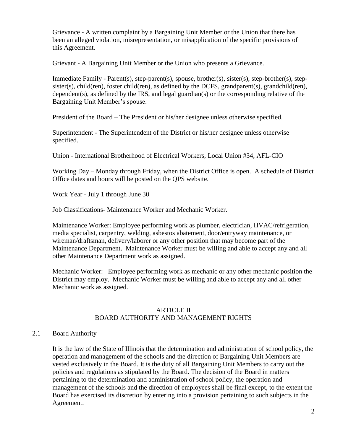Grievance - A written complaint by a Bargaining Unit Member or the Union that there has been an alleged violation, misrepresentation, or misapplication of the specific provisions of this Agreement.

Grievant - A Bargaining Unit Member or the Union who presents a Grievance.

Immediate Family - Parent(s), step-parent(s), spouse, brother(s), sister(s), step-brother(s), stepsister(s), child(ren), foster child(ren), as defined by the DCFS, grandparent(s), grandchild(ren), dependent(s), as defined by the IRS, and legal guardian(s) or the corresponding relative of the Bargaining Unit Member's spouse.

President of the Board – The President or his/her designee unless otherwise specified.

Superintendent - The Superintendent of the District or his/her designee unless otherwise specified.

Union - International Brotherhood of Electrical Workers, Local Union #34, AFL-CIO

Working Day – Monday through Friday, when the District Office is open. A schedule of District Office dates and hours will be posted on the QPS website.

Work Year - July 1 through June 30

Job Classifications- Maintenance Worker and Mechanic Worker.

Maintenance Worker: Employee performing work as plumber, electrician, HVAC/refrigeration, media specialist, carpentry, welding, asbestos abatement, door/entryway maintenance, or wireman/draftsman, delivery/laborer or any other position that may become part of the Maintenance Department. Maintenance Worker must be willing and able to accept any and all other Maintenance Department work as assigned.

Mechanic Worker: Employee performing work as mechanic or any other mechanic position the District may employ. Mechanic Worker must be willing and able to accept any and all other Mechanic work as assigned.

#### ARTICLE II BOARD AUTHORITY AND MANAGEMENT RIGHTS

#### 2.1 Board Authority

It is the law of the State of Illinois that the determination and administration of school policy, the operation and management of the schools and the direction of Bargaining Unit Members are vested exclusively in the Board. It is the duty of all Bargaining Unit Members to carry out the policies and regulations as stipulated by the Board. The decision of the Board in matters pertaining to the determination and administration of school policy, the operation and management of the schools and the direction of employees shall be final except, to the extent the Board has exercised its discretion by entering into a provision pertaining to such subjects in the Agreement.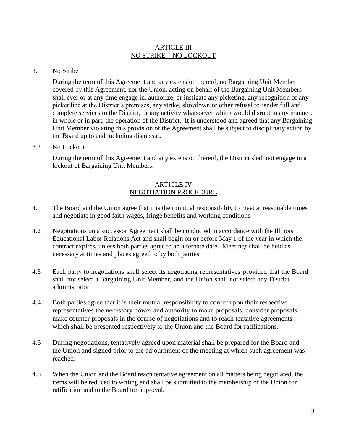#### ARTICLE III NO STRIKE – NO LOCKOUT

#### 3.1 No Strike

During the term of this Agreement and any extension thereof, no Bargaining Unit Member covered by this Agreement, nor the Union**,** acting on behalf of the Bargaining Unit Members shall ever or at any time engage in, authorize, or instigate any picketing, any recognition of any picket line at the District's premises, any strike, slowdown or other refusal to render full and complete services to the District, or any activity whatsoever which would disrupt in any manner, in whole or in part, the operation of the District. It is understood and agreed that any Bargaining Unit Member violating this provision of the Agreement shall be subject to disciplinary action by the Board up to and including dismissal**.**

#### 3.2 No Lockout

During the term of this Agreement and any extension thereof, the District shall not engage in a lockout of Bargaining Unit Members.

#### ARTICLE IV NEGOTIATION PROCEDURE

- 4.1 The Board and the Union agree that it is their mutual responsibility to meet at reasonable times and negotiate in good faith wages, fringe benefits and working conditions
- 4.2 Negotiations on a successor Agreement shall be conducted in accordance with the Illinois Educational Labor Relations Act and shall begin on or before May 1 of the year in which the contract expires**,** unless both parties agree to an alternate date. Meetings shall be held as necessary at times and places agreed to by both parties.
- 4.3 Each party to negotiations shall select its negotiating representatives provided that the Board shall not select a Bargaining Unit Member, and the Union shall not select any District administrator.
- 4.4 Both parties agree that it is their mutual responsibility to confer upon their respective representatives the necessary power and authority to make proposals, consider proposals, make counter proposals in the course of negotiations and to reach tentative agreements which shall be presented respectively to the Union and the Board for ratifications.
- 4.5 During negotiations, tentatively agreed upon material shall be prepared for the Board and the Union and signed prior to the adjournment of the meeting at which such agreement was reached.
- 4.6 When the Union and the Board reach tentative agreement on all matters being negotiated, the items will be reduced to writing and shall be submitted to the membership of the Union for ratification and to the Board for approval.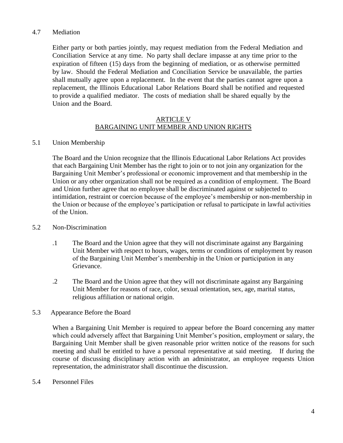#### 4.7 Mediation

Either party or both parties jointly, may request mediation from the Federal Mediation and Conciliation Service at any time. No party shall declare impasse at any time prior to the expiration of fifteen (15) days from the beginning of mediation, or as otherwise permitted by law. Should the Federal Mediation and Conciliation Service be unavailable, the parties shall mutually agree upon a replacement. In the event that the parties cannot agree upon a replacement, the Illinois Educational Labor Relations Board shall be notified and requested to provide a qualified mediator. The costs of mediation shall be shared equally by the Union and the Board.

#### ARTICLE V BARGAINING UNIT MEMBER AND UNION RIGHTS

#### 5.1 Union Membership

The Board and the Union recognize that the Illinois Educational Labor Relations Act provides that each Bargaining Unit Member has the right to join or to not join any organization for the Bargaining Unit Member's professional or economic improvement and that membership in the Union or any other organization shall not be required as a condition of employment. The Board and Union further agree that no employee shall be discriminated against or subjected to intimidation, restraint or coercion because of the employee's membership or non-membership in the Union or because of the employee's participation or refusal to participate in lawful activities of the Union.

#### 5.2 Non-Discrimination

- .1 The Board and the Union agree that they will not discriminate against any Bargaining Unit Member with respect to hours, wages, terms or conditions of employment by reason of the Bargaining Unit Member's membership in the Union or participation in any Grievance.
- .2 The Board and the Union agree that they will not discriminate against any Bargaining Unit Member for reasons of race, color, sexual orientation, sex, age, marital status, religious affiliation or national origin.

#### 5.3 Appearance Before the Board

When a Bargaining Unit Member is required to appear before the Board concerning any matter which could adversely affect that Bargaining Unit Member's position, employment or salary, the Bargaining Unit Member shall be given reasonable prior written notice of the reasons for such meeting and shall be entitled to have a personal representative at said meeting. If during the course of discussing disciplinary action with an administrator, an employee requests Union representation, the administrator shall discontinue the discussion.

#### 5.4 Personnel Files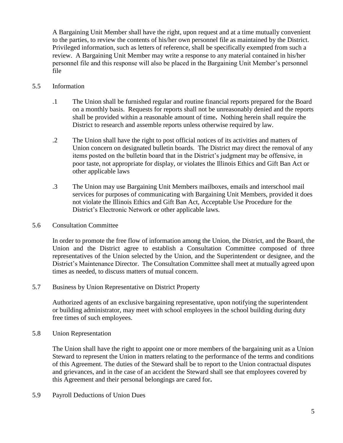A Bargaining Unit Member shall have the right, upon request and at a time mutually convenient to the parties, to review the contents of his/her own personnel file as maintained by the District. Privileged information, such as letters of reference, shall be specifically exempted from such a review. A Bargaining Unit Member may write a response to any material contained in his/her personnel file and this response will also be placed in the Bargaining Unit Member's personnel file

#### 5.5 Information

- .1 The Union shall be furnished regular and routine financial reports prepared for the Board on a monthly basis. Requests for reports shall not be unreasonably denied and the reports shall be provided within a reasonable amount of time**.** Nothing herein shall require the District to research and assemble reports unless otherwise required by law.
- .2 The Union shall have the right to post official notices of its activities and matters of Union concern on designated bulletin boards. The District may direct the removal of any items posted on the bulletin board that in the District's judgment may be offensive, in poor taste, not appropriate for display, or violates the Illinois Ethics and Gift Ban Act or other applicable laws
- .3 The Union may use Bargaining Unit Members mailboxes, emails and interschool mail services for purposes of communicating with Bargaining Unit Members, provided it does not violate the Illinois Ethics and Gift Ban Act, Acceptable Use Procedure for the District's Electronic Network or other applicable laws.
- 5.6 Consultation Committee

In order to promote the free flow of information among the Union, the District, and the Board, the Union and the District agree to establish a Consultation Committee composed of three representatives of the Union selected by the Union, and the Superintendent or designee, and the District's Maintenance Director. The Consultation Committee shall meet at mutually agreed upon times as needed, to discuss matters of mutual concern.

5.7 Business by Union Representative on District Property

Authorized agents of an exclusive bargaining representative, upon notifying the superintendent or building administrator, may meet with school employees in the school building during duty free times of such employees.

5.8 Union Representation

The Union shall have the right to appoint one or more members of the bargaining unit as a Union Steward to represent the Union in matters relating to the performance of the terms and conditions of this Agreement. The duties of the Steward shall be to report to the Union contractual disputes and grievances, and in the case of an accident the Steward shall see that employees covered by this Agreement and their personal belongings are cared for**.** 

5.9 Payroll Deductions of Union Dues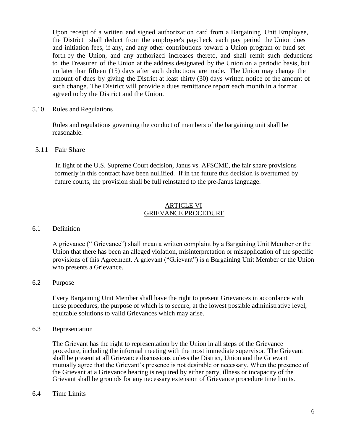Upon receipt of a written and signed authorization card from a Bargaining Unit Employee, the District shall deduct from the employee's paycheck each pay period the Union dues and initiation fees, if any, and any other contributions toward a Union program or fund set forth by the Union, and any authorized increases thereto, and shall remit such deductions to the Treasurer of the Union at the address designated by the Union on a periodic basis, but no later than fifteen (15) days after such deductions are made. The Union may change the amount of dues by giving the District at least thirty (30) days written notice of the amount of such change. The District will provide a dues remittance report each month in a format agreed to by the District and the Union.

#### 5.10 Rules and Regulations

Rules and regulations governing the conduct of members of the bargaining unit shall be reasonable.

#### 5.11 Fair Share

In light of the U.S. Supreme Court decision, Janus vs. AFSCME, the fair share provisions formerly in this contract have been nullified. If in the future this decision is overturned by future courts, the provision shall be full reinstated to the pre-Janus language.

#### ARTICLE VI GRIEVANCE PROCEDURE

#### 6.1 Definition

A grievance (" Grievance") shall mean a written complaint by a Bargaining Unit Member or the Union that there has been an alleged violation, misinterpretation or misapplication of the specific provisions of this Agreement. A grievant ("Grievant") is a Bargaining Unit Member or the Union who presents a Grievance.

#### 6.2 Purpose

Every Bargaining Unit Member shall have the right to present Grievances in accordance with these procedures, the purpose of which is to secure, at the lowest possible administrative level, equitable solutions to valid Grievances which may arise.

#### 6.3 Representation

The Grievant has the right to representation by the Union in all steps of the Grievance procedure, including the informal meeting with the most immediate supervisor. The Grievant shall be present at all Grievance discussions unless the District, Union and the Grievant mutually agree that the Grievant's presence is not desirable or necessary. When the presence of the Grievant at a Grievance hearing is required by either party, illness or incapacity of the Grievant shall be grounds for any necessary extension of Grievance procedure time limits.

#### 6.4 Time Limits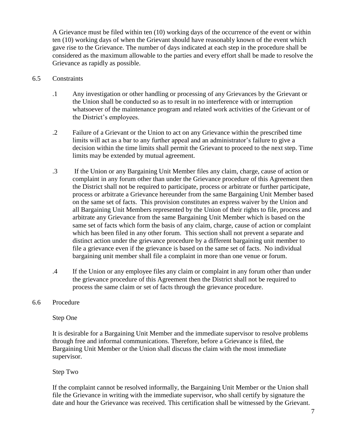A Grievance must be filed within ten (10) working days of the occurrence of the event or within ten (10) working days of when the Grievant should have reasonably known of the event which gave rise to the Grievance. The number of days indicated at each step in the procedure shall be considered as the maximum allowable to the parties and every effort shall be made to resolve the Grievance as rapidly as possible.

#### 6.5 Constraints

- .1 Any investigation or other handling or processing of any Grievances by the Grievant or the Union shall be conducted so as to result in no interference with or interruption whatsoever of the maintenance program and related work activities of the Grievant or of the District's employees.
- .2 Failure of a Grievant or the Union to act on any Grievance within the prescribed time limits will act as a bar to any further appeal and an administrator's failure to give a decision within the time limits shall permit the Grievant to proceed to the next step. Time limits may be extended by mutual agreement.
- .3 If the Union or any Bargaining Unit Member files any claim, charge, cause of action or complaint in any forum other than under the Grievance procedure of this Agreement then the District shall not be required to participate, process or arbitrate or further participate, process or arbitrate a Grievance hereunder from the same Bargaining Unit Member based on the same set of facts. This provision constitutes an express waiver by the Union and all Bargaining Unit Members represented by the Union of their rights to file, process and arbitrate any Grievance from the same Bargaining Unit Member which is based on the same set of facts which form the basis of any claim, charge, cause of action or complaint which has been filed in any other forum. This section shall not prevent a separate and distinct action under the grievance procedure by a different bargaining unit member to file a grievance even if the grievance is based on the same set of facts. No individual bargaining unit member shall file a complaint in more than one venue or forum.
- .4 If the Union or any employee files any claim or complaint in any forum other than under the grievance procedure of this Agreement then the District shall not be required to process the same claim or set of facts through the grievance procedure.

#### 6.6 Procedure

#### Step One

It is desirable for a Bargaining Unit Member and the immediate supervisor to resolve problems through free and informal communications. Therefore, before a Grievance is filed, the Bargaining Unit Member or the Union shall discuss the claim with the most immediate supervisor.

#### Step Two

If the complaint cannot be resolved informally, the Bargaining Unit Member or the Union shall file the Grievance in writing with the immediate supervisor, who shall certify by signature the date and hour the Grievance was received. This certification shall be witnessed by the Grievant.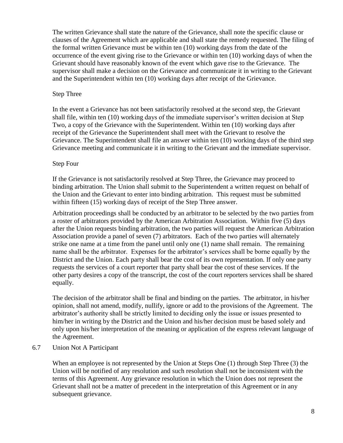The written Grievance shall state the nature of the Grievance, shall note the specific clause or clauses of the Agreement which are applicable and shall state the remedy requested. The filing of the formal written Grievance must be within ten (10) working days from the date of the occurrence of the event giving rise to the Grievance or within ten (10) working days of when the Grievant should have reasonably known of the event which gave rise to the Grievance. The supervisor shall make a decision on the Grievance and communicate it in writing to the Grievant and the Superintendent within ten (10) working days after receipt of the Grievance.

#### Step Three

In the event a Grievance has not been satisfactorily resolved at the second step, the Grievant shall file, within ten (10) working days of the immediate supervisor's written decision at Step Two, a copy of the Grievance with the Superintendent. Within ten (10) working days after receipt of the Grievance the Superintendent shall meet with the Grievant to resolve the Grievance. The Superintendent shall file an answer within ten (10) working days of the third step Grievance meeting and communicate it in writing to the Grievant and the immediate supervisor.

#### Step Four

If the Grievance is not satisfactorily resolved at Step Three, the Grievance may proceed to binding arbitration. The Union shall submit to the Superintendent a written request on behalf of the Union and the Grievant to enter into binding arbitration. This request must be submitted within fifteen (15) working days of receipt of the Step Three answer.

Arbitration proceedings shall be conducted by an arbitrator to be selected by the two parties from a roster of arbitrators provided by the American Arbitration Association. Within five (5) days after the Union requests binding arbitration, the two parties will request the American Arbitration Association provide a panel of seven (7) arbitrators. Each of the two parties will alternately strike one name at a time from the panel until only one (1) name shall remain. The remaining name shall be the arbitrator. Expenses for the arbitrator's services shall be borne equally by the District and the Union. Each party shall bear the cost of its own representation. If only one party requests the services of a court reporter that party shall bear the cost of these services. If the other party desires a copy of the transcript, the cost of the court reporters services shall be shared equally.

The decision of the arbitrator shall be final and binding on the parties. The arbitrator, in his/her opinion, shall not amend, modify, nullify, ignore or add to the provisions of the Agreement. The arbitrator's authority shall be strictly limited to deciding only the issue or issues presented to him/her in writing by the District and the Union and his/her decision must be based solely and only upon his/her interpretation of the meaning or application of the express relevant language of the Agreement.

#### 6.7 Union Not A Participant

When an employee is not represented by the Union at Steps One (1) through Step Three (3) the Union will be notified of any resolution and such resolution shall not be inconsistent with the terms of this Agreement. Any grievance resolution in which the Union does not represent the Grievant shall not be a matter of precedent in the interpretation of this Agreement or in any subsequent grievance.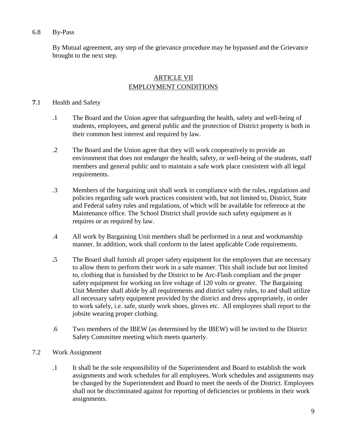#### 6.8 By-Pass

By Mutual agreement, any step of the grievance procedure may be bypassed and the Grievance brought to the next step.

### ARTICLE VII EMPLOYMENT CONDITIONS

#### **7**.1 Health and Safety

- .1 The Board and the Union agree that safeguarding the health, safety and well-being of students, employees, and general public and the protection of District property is both in their common best interest and required by law.
- .2 The Board and the Union agree that they will work cooperatively to provide an environment that does not endanger the health, safety, or well-being of the students, staff members and general public and to maintain a safe work place consistent with all legal requirements.
- .3 Members of the bargaining unit shall work in compliance with the rules, regulations and policies regarding safe work practices consistent with, but not limited to, District, State and Federal safety rules and regulations, of which will be available for reference at the Maintenance office. The School District shall provide such safety equipment as it requires or as required by law.
- .4 All work by Bargaining Unit members shall be performed in a neat and workmanship manner. In addition, work shall conform to the latest applicable Code requirements.
- **.**5 The Board shall furnish all proper safety equipment for the employees that are necessary to allow them to perform their work in a safe manner. This shall include but not limited to, clothing that is furnished by the District to be Arc-Flash compliant and the proper safety equipment for working on live voltage of 120 volts or greater.The Bargaining Unit Member shall abide by all requirements and district safety rules, to and shall utilize all necessary safety equipment provided by the district and dress appropriately, in order to work safely, i.e. safe, sturdy work shoes, gloves etc. All employees shall report to the jobsite wearing proper clothing.
- .6 Two members of the IBEW (as determined by the IBEW) will be invited to the District Safety Committee meeting which meets quarterly.
- 7.2 Work Assignment
	- .1 It shall be the sole responsibility of the Superintendent and Board to establish the work assignments and work schedules for all employees. Work schedules and assignments may be changed by the Superintendent and Board to meet the needs of the District. Employees shall not be discriminated against for reporting of deficiencies or problems in their work assignments.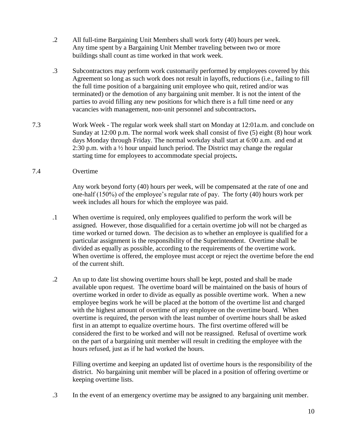- .2 All full-time Bargaining Unit Members shall work forty (40) hours per week. Any time spent by a Bargaining Unit Member traveling between two or more buildings shall count as time worked in that work week.
- .3 Subcontractors may perform work customarily performed by employees covered by this Agreement so long as such work does not result in layoffs, reductions (i.e., failing to fill the full time position of a bargaining unit employee who quit, retired and/or was terminated) or the demotion of any bargaining unit member. It is not the intent of the parties to avoid filling any new positions for which there is a full time need or any vacancies with management, non-unit personnel and subcontractors**.**
- 7.3 Work Week The regular work week shall start on Monday at 12:01a.m. and conclude on Sunday at 12:00 p.m. The normal work week shall consist of five (5) eight (8) hour work days Monday through Friday. The normal workday shall start at 6:00 a.m. and end at 2:30 p.m. with a ½ hour unpaid lunch period. The District may change the regular starting time for employees to accommodate special projects**.**
- 7.4 Overtime

Any work beyond forty (40) hours per week, will be compensated at the rate of one and one-half (150%) of the employee's regular rate of pay. The forty (40) hours work per week includes all hours for which the employee was paid.

- .1 When overtime is required, only employees qualified to perform the work will be assigned. However, those disqualified for a certain overtime job will not be charged as time worked or turned down. The decision as to whether an employee is qualified for a particular assignment is the responsibility of the Superintendent. Overtime shall be divided as equally as possible, according to the requirements of the overtime work. When overtime is offered, the employee must accept or reject the overtime before the end of the current shift.
- .2 An up to date list showing overtime hours shall be kept, posted and shall be made available upon request. The overtime board will be maintained on the basis of hours of overtime worked in order to divide as equally as possible overtime work. When a new employee begins work he will be placed at the bottom of the overtime list and charged with the highest amount of overtime of any employee on the overtime board. When overtime is required, the person with the least number of overtime hours shall be asked first in an attempt to equalize overtime hours. The first overtime offered will be considered the first to be worked and will not be reassigned. Refusal of overtime work on the part of a bargaining unit member will result in crediting the employee with the hours refused, just as if he had worked the hours.

Filling overtime and keeping an updated list of overtime hours is the responsibility of the district. No bargaining unit member will be placed in a position of offering overtime or keeping overtime lists.

.3 In the event of an emergency overtime may be assigned to any bargaining unit member.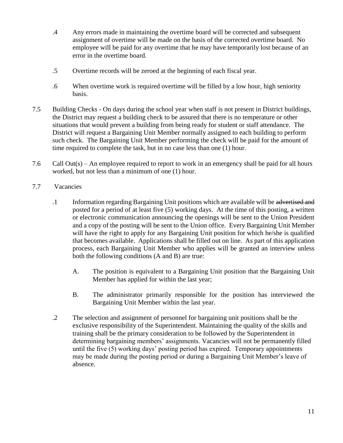- .4 Any errors made in maintaining the overtime board will be corrected and subsequent assignment of overtime will be made on the basis of the corrected overtime board. No employee will be paid for any overtime that he may have temporarily lost because of an error in the overtime board.
- .5 Overtime records will be zeroed at the beginning of each fiscal year.
- .6 When overtime work is required overtime will be filled by a low hour, high seniority basis.
- 7.5 Building Checks On days during the school year when staff is not present in District buildings, the District may request a building check to be assured that there is no temperature or other situations that would prevent a building from being ready for student or staff attendance. The District will request a Bargaining Unit Member normally assigned to each building to perform such check. The Bargaining Unit Member performing the check will be paid for the amount of time required to complete the task, but in no case less than one (1) hour.
- 7.6 Call Out(s) An employee required to report to work in an emergency shall be paid for all hours worked, but not less than a minimum of one (1) hour.
- 7.7 Vacancies
	- .1 Information regarding Bargaining Unit positions which are available will be advertised and posted for a period of at least five (5) working days. At the time of this posting, a written or electronic communication announcing the openings will be sent to the Union President and a copy of the posting will be sent to the Union office. Every Bargaining Unit Member will have the right to apply for any Bargaining Unit position for which he/she is qualified that becomes available. Applications shall be filled out on line. As part of this application process, each Bargaining Unit Member who applies will be granted an interview unless both the following conditions (A and B) are true:
		- A. The position is equivalent to a Bargaining Unit position that the Bargaining Unit Member has applied for within the last year;
		- B. The administrator primarily responsible for the position has interviewed the Bargaining Unit Member within the last year.
	- .2 The selection and assignment of personnel for bargaining unit positions shall be the exclusive responsibility of the Superintendent. Maintaining the quality of the skills and training shall be the primary consideration to be followed by the Superintendent in determining bargaining members' assignments. Vacancies will not be permanently filled until the five (5) working days' posting period has expired. Temporary appointments may be made during the posting period or during a Bargaining Unit Member's leave of absence.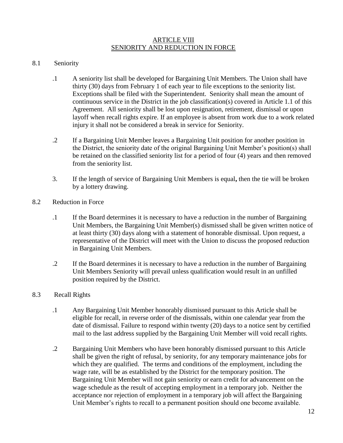#### ARTICLE VIII SENIORITY AND REDUCTION IN FORCE

#### 8.1 Seniority

- .1 A seniority list shall be developed for Bargaining Unit Members. The Union shall have thirty (30) days from February 1 of each year to file exceptions to the seniority list. Exceptions shall be filed with the Superintendent. Seniority shall mean the amount of continuous service in the District in the job classification(s) covered in Article 1.1 of this Agreement. All seniority shall be lost upon resignation, retirement, dismissal or upon layoff when recall rights expire. If an employee is absent from work due to a work related injury it shall not be considered a break in service for Seniority.
- .2 If a Bargaining Unit Member leaves a Bargaining Unit position for another position in the District, the seniority date of the original Bargaining Unit Member's position(s) shall be retained on the classified seniority list for a period of four (4) years and then removed from the seniority list.
- 3. If the length of service of Bargaining Unit Members is equal**,** then the tie will be broken by a lottery drawing.
- 8.2 Reduction in Force
	- .1 If the Board determines it is necessary to have a reduction in the number of Bargaining Unit Members, the Bargaining Unit Member(s) dismissed shall be given written notice of at least thirty (30) days along with a statement of honorable dismissal. Upon request, a representative of the District will meet with the Union to discuss the proposed reduction in Bargaining Unit Members.
	- .2 If the Board determines it is necessary to have a reduction in the number of Bargaining Unit Members Seniority will prevail unless qualification would result in an unfilled position required by the District.
- 8.3 Recall Rights
	- .1 Any Bargaining Unit Member honorably dismissed pursuant to this Article shall be eligible for recall, in reverse order of the dismissals, within one calendar year from the date of dismissal. Failure to respond within twenty (20) days to a notice sent by certified mail to the last address supplied by the Bargaining Unit Member will void recall rights.
	- .2 Bargaining Unit Members who have been honorably dismissed pursuant to this Article shall be given the right of refusal, by seniority, for any temporary maintenance jobs for which they are qualified. The terms and conditions of the employment, including the wage rate, will be as established by the District for the temporary position. The Bargaining Unit Member will not gain seniority or earn credit for advancement on the wage schedule as the result of accepting employment in a temporary job. Neither the acceptance nor rejection of employment in a temporary job will affect the Bargaining Unit Member's rights to recall to a permanent position should one become available.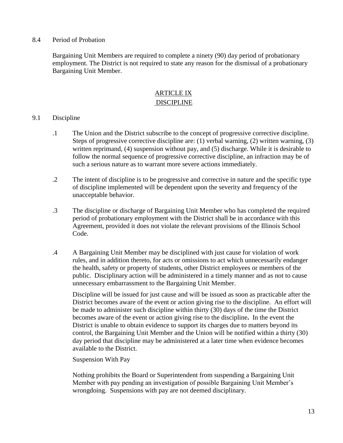#### 8.4 Period of Probation

Bargaining Unit Members are required to complete a ninety (90) day period of probationary employment. The District is not required to state any reason for the dismissal of a probationary Bargaining Unit Member.

#### ARTICLE IX DISCIPLINE

#### 9.1 Discipline

- .1 The Union and the District subscribe to the concept of progressive corrective discipline. Steps of progressive corrective discipline are: (1) verbal warning, (2) written warning, (3) written reprimand, (4) suspension without pay, and (5) discharge. While it is desirable to follow the normal sequence of progressive corrective discipline, an infraction may be of such a serious nature as to warrant more severe actions immediately.
- .2 The intent of discipline is to be progressive and corrective in nature and the specific type of discipline implemented will be dependent upon the severity and frequency of the unacceptable behavior.
- .3 The discipline or discharge of Bargaining Unit Member who has completed the required period of probationary employment with the District shall be in accordance with this Agreement, provided it does not violate the relevant provisions of the Illinois School Code.
- .4 A Bargaining Unit Member may be disciplined with just cause for violation of work rules, and in addition thereto, for acts or omissions to act which unnecessarily endanger the health, safety or property of students, other District employees or members of the public. Disciplinary action will be administered in a timely manner and as not to cause unnecessary embarrassment to the Bargaining Unit Member.

Discipline will be issued for just cause and will be issued as soon as practicable after the District becomes aware of the event or action giving rise to the discipline. An effort will be made to administer such discipline within thirty (30) days of the time the District becomes aware of the event or action giving rise to the discipline**.** In the event the District is unable to obtain evidence to support its charges due to matters beyond its control, the Bargaining Unit Member and the Union will be notified within a thirty (30) day period that discipline may be administered at a later time when evidence becomes available to the District.

Suspension With Pay

Nothing prohibits the Board or Superintendent from suspending a Bargaining Unit Member with pay pending an investigation of possible Bargaining Unit Member's wrongdoing. Suspensions with pay are not deemed disciplinary.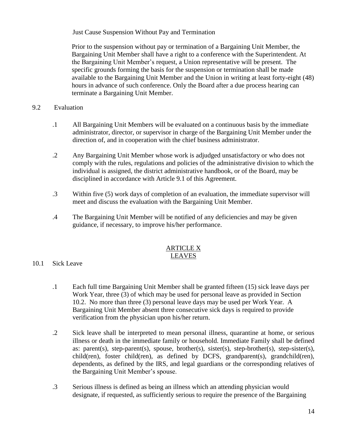Just Cause Suspension Without Pay and Termination

Prior to the suspension without pay or termination of a Bargaining Unit Member, the Bargaining Unit Member shall have a right to a conference with the Superintendent. At the Bargaining Unit Member's request, a Union representative will be present. The specific grounds forming the basis for the suspension or termination shall be made available to the Bargaining Unit Member and the Union in writing at least forty-eight (48) hours in advance of such conference. Only the Board after a due process hearing can terminate a Bargaining Unit Member.

#### 9.2 Evaluation

- .1 All Bargaining Unit Members will be evaluated on a continuous basis by the immediate administrator, director, or supervisor in charge of the Bargaining Unit Member under the direction of, and in cooperation with the chief business administrator.
- .2 Any Bargaining Unit Member whose work is adjudged unsatisfactory or who does not comply with the rules, regulations and policies of the administrative division to which the individual is assigned, the district administrative handbook, or of the Board, may be disciplined in accordance with Article 9.1 of this Agreement.
- .3 Within five (5) work days of completion of an evaluation, the immediate supervisor will meet and discuss the evaluation with the Bargaining Unit Member.
- .4 The Bargaining Unit Member will be notified of any deficiencies and may be given guidance, if necessary, to improve his/her performance.

#### ARTICLE X LEAVES

- 10.1 Sick Leave
	- .1 Each full time Bargaining Unit Member shall be granted fifteen (15) sick leave days per Work Year, three (3) of which may be used for personal leave as provided in Section 10.2. No more than three (3) personal leave days may be used per Work Year. A Bargaining Unit Member absent three consecutive sick days is required to provide verification from the physician upon his/her return.
	- .2 Sick leave shall be interpreted to mean personal illness, quarantine at home, or serious illness or death in the immediate family or household. Immediate Family shall be defined as: parent(s), step-parent(s), spouse, brother(s), sister(s), step-brother(s), step-sister(s), child(ren), foster child(ren), as defined by DCFS, grandparent(s), grandchild(ren), dependents, as defined by the IRS, and legal guardians or the corresponding relatives of the Bargaining Unit Member's spouse.
	- .3 Serious illness is defined as being an illness which an attending physician would designate, if requested, as sufficiently serious to require the presence of the Bargaining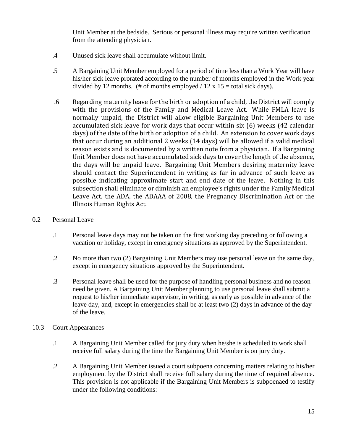Unit Member at the bedside. Serious or personal illness may require written verification from the attending physician.

- .4 Unused sick leave shall accumulate without limit.
- .5 A Bargaining Unit Member employed for a period of time less than a Work Year will have his/her sick leave prorated according to the number of months employed in the Work year divided by 12 months. (# of months employed /  $12 \times 15 =$  total sick days).
- .6 Regarding maternity leave for the birth or adoption of a child, the District will comply with the provisions of the Family and Medical Leave Act. While FMLA leave is normally unpaid, the District will allow eligible Bargaining Unit Members to use accumulated sick leave for work days that occur within six (6) weeks (42 calendar days) of the date of the birth or adoption of a child. An extension to cover work days that occur during an additional 2 weeks (14 days) will be allowed if a valid medical reason exists and is documented by a written note from a physician. If a Bargaining Unit Member does not have accumulated sick days to cover the length of the absence, the days will be unpaid leave. Bargaining Unit Members desiring maternity leave should contact the Superintendent in writing as far in advance of such leave as possible indicating approximate start and end date of the leave. Nothing in this subsection shall eliminate or diminish an employee's rights under the Family Medical Leave Act, the ADA, the ADAAA of 2008, the Pregnancy Discrimination Act or the Illinois Human Rights Act.
- 0.2 Personal Leave
	- .1 Personal leave days may not be taken on the first working day preceding or following a vacation or holiday, except in emergency situations as approved by the Superintendent.
	- .2 No more than two (2) Bargaining Unit Members may use personal leave on the same day, except in emergency situations approved by the Superintendent.
	- .3 Personal leave shall be used for the purpose of handling personal business and no reason need be given. A Bargaining Unit Member planning to use personal leave shall submit a request to his/her immediate supervisor, in writing, as early as possible in advance of the leave day, and, except in emergencies shall be at least two (2) days in advance of the day of the leave.
- 10.3 Court Appearances
	- .1 A Bargaining Unit Member called for jury duty when he/she is scheduled to work shall receive full salary during the time the Bargaining Unit Member is on jury duty.
	- .2 A Bargaining Unit Member issued a court subpoena concerning matters relating to his/her employment by the District shall receive full salary during the time of required absence. This provision is not applicable if the Bargaining Unit Members is subpoenaed to testify under the following conditions: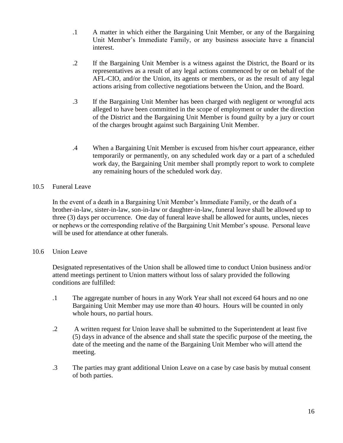- .1 A matter in which either the Bargaining Unit Member, or any of the Bargaining Unit Member's Immediate Family, or any business associate have a financial interest.
- .2 If the Bargaining Unit Member is a witness against the District, the Board or its representatives as a result of any legal actions commenced by or on behalf of the AFL-CIO, and/or the Union, its agents or members, or as the result of any legal actions arising from collective negotiations between the Union, and the Board.
- .3 If the Bargaining Unit Member has been charged with negligent or wrongful acts alleged to have been committed in the scope of employment or under the direction of the District and the Bargaining Unit Member is found guilty by a jury or court of the charges brought against such Bargaining Unit Member.
- .4 When a Bargaining Unit Member is excused from his/her court appearance, either temporarily or permanently, on any scheduled work day or a part of a scheduled work day, the Bargaining Unit member shall promptly report to work to complete any remaining hours of the scheduled work day.

#### 10.5 Funeral Leave

In the event of a death in a Bargaining Unit Member's Immediate Family, or the death of a brother-in-law, sister-in-law, son-in-law or daughter-in-law, funeral leave shall be allowed up to three (3) days per occurrence. One day of funeral leave shall be allowed for aunts, uncles, nieces or nephews or the corresponding relative of the Bargaining Unit Member's spouse. Personal leave will be used for attendance at other funerals.

#### 10.6 Union Leave

Designated representatives of the Union shall be allowed time to conduct Union business and/or attend meetings pertinent to Union matters without loss of salary provided the following conditions are fulfilled:

- .1 The aggregate number of hours in any Work Year shall not exceed 64 hours and no one Bargaining Unit Member may use more than 40 hours. Hours will be counted in only whole hours, no partial hours.
- .2 A written request for Union leave shall be submitted to the Superintendent at least five (5) days in advance of the absence and shall state the specific purpose of the meeting, the date of the meeting and the name of the Bargaining Unit Member who will attend the meeting.
- .3 The parties may grant additional Union Leave on a case by case basis by mutual consent of both parties.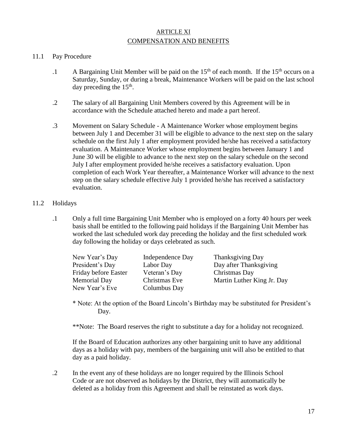#### ARTICLE XI COMPENSATION AND BENEFITS

#### 11.1 Pay Procedure

- .1 A Bargaining Unit Member will be paid on the  $15<sup>th</sup>$  of each month. If the  $15<sup>th</sup>$  occurs on a Saturday, Sunday, or during a break, Maintenance Workers will be paid on the last school day preceding the  $15<sup>th</sup>$ .
- .2 The salary of all Bargaining Unit Members covered by this Agreement will be in accordance with the Schedule attached hereto and made a part hereof.
- .3 Movement on Salary Schedule A Maintenance Worker whose employment begins between July 1 and December 31 will be eligible to advance to the next step on the salary schedule on the first July 1 after employment provided he/she has received a satisfactory evaluation. A Maintenance Worker whose employment begins between January 1 and June 30 will be eligible to advance to the next step on the salary schedule on the second July I after employment provided he/she receives a satisfactory evaluation. Upon completion of each Work Year thereafter, a Maintenance Worker will advance to the next step on the salary schedule effective July 1 provided he/she has received a satisfactory evaluation.

#### 11.2 Holidays

.1 Only a full time Bargaining Unit Member who is employed on a forty 40 hours per week basis shall be entitled to the following paid holidays if the Bargaining Unit Member has worked the last scheduled work day preceding the holiday and the first scheduled work day following the holiday or days celebrated as such.

| New Year's Day       | Independence Day | <b>Thanksgiving Day</b>    |
|----------------------|------------------|----------------------------|
| President's Day      | Labor Day        | Day after Thanksgiving     |
| Friday before Easter | Veteran's Day    | Christmas Day              |
| <b>Memorial Day</b>  | Christmas Eve    | Martin Luther King Jr. Day |
| New Year's Eve       | Columbus Day     |                            |

- \* Note: At the option of the Board Lincoln's Birthday may be substituted for President's Day.
- \*\*Note: The Board reserves the right to substitute a day for a holiday not recognized.

If the Board of Education authorizes any other bargaining unit to have any additional days as a holiday with pay, members of the bargaining unit will also be entitled to that day as a paid holiday.

*.*2 In the event any of these holidays are no longer required by the Illinois School Code or are not observed as holidays by the District, they will automatically be deleted as a holiday from this Agreement and shall be reinstated as work days.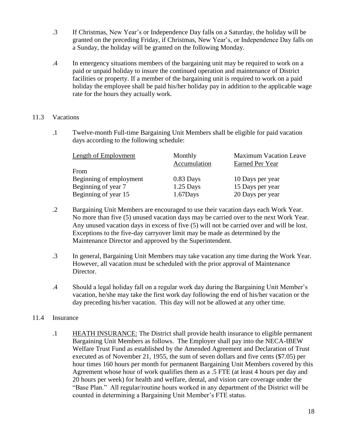- .3 If Christmas, New Year's or Independence Day falls on a Saturday, the holiday will be granted on the preceding Friday, if Christmas, New Year's, or Independence Day falls on a Sunday, the holiday will be granted on the following Monday.
- .4 In emergency situations members of the bargaining unit may be required to work on a paid or unpaid holiday to insure the continued operation and maintenance of District facilities or property. If a member of the bargaining unit is required to work on a paid holiday the employee shall be paid his/her holiday pay in addition to the applicable wage rate for the hours they actually work.

#### 11.3 Vacations

.1 Twelve-month Full-time Bargaining Unit Members shall be eligible for paid vacation days according to the following schedule:

| Monthly<br>Accumulation | <b>Maximum Vacation Leave</b><br>Earned Per Year |
|-------------------------|--------------------------------------------------|
|                         |                                                  |
| $0.83$ Days             | 10 Days per year                                 |
| $1.25$ Days             | 15 Days per year                                 |
| $1.67$ Days             | 20 Days per year                                 |
|                         |                                                  |

- .2 Bargaining Unit Members are encouraged to use their vacation days each Work Year. No more than five (5) unused vacation days may be carried over to the next Work Year. Any unused vacation days in excess of five (5) will not be carried over and will be lost. Exceptions to the five-day carryover limit may be made as determined by the Maintenance Director and approved by the Superintendent.
- .3 In general, Bargaining Unit Members may take vacation any time during the Work Year. However, all vacation must be scheduled with the prior approval of Maintenance Director.
- .4 Should a legal holiday fall on a regular work day during the Bargaining Unit Member's vacation, he/she may take the first work day following the end of his/her vacation or the day preceding his/her vacation. This day will not be allowed at any other time.

#### 11.4 Insurance

.1 HEATH INSURANCE: The District shall provide health insurance to eligible permanent Bargaining Unit Members as follows. The Employer shall pay into the NECA-IBEW Welfare Trust Fund as established by the Amended Agreement and Declaration of Trust executed as of November 21, 1955, the sum of seven dollars and five cents (\$7.05) per hour times 160 hours per month for permanent Bargaining Unit Members covered by this Agreement whose hour of work qualifies them as a .5 FTE (at least 4 hours per day and 20 hours per week) for health and welfare, dental, and vision care coverage under the "Base Plan." All regular/routine hours worked in any department of the District will be counted in determining a Bargaining Unit Member's FTE status.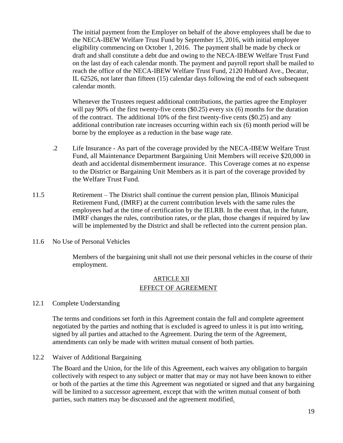The initial payment from the Employer on behalf of the above employees shall be due to the NECA-IBEW Welfare Trust Fund by September 15, 2016, with initial employee eligibility commencing on October 1, 2016. The payment shall be made by check or draft and shall constitute a debt due and owing to the NECA-IBEW Welfare Trust Fund on the last day of each calendar month. The payment and payroll report shall be mailed to reach the office of the NECA-IBEW Welfare Trust Fund, 2120 Hubbard Ave., Decatur, IL 62526, not later than fifteen (15) calendar days following the end of each subsequent calendar month.

Whenever the Trustees request additional contributions, the parties agree the Employer will pay 90% of the first twenty-five cents (\$0.25) every six (6) months for the duration of the contract. The additional 10% of the first twenty-five cents (\$0.25) and any additional contribution rate increases occurring within each six (6) month period will be borne by the employee as a reduction in the base wage rate.

- .2 Life Insurance As part of the coverage provided by the NECA-IBEW Welfare Trust Fund, all Maintenance Department Bargaining Unit Members will receive \$20,000 in death and accidental dismemberment insurance. This Coverage comes at no expense to the District or Bargaining Unit Members as it is part of the coverage provided by the Welfare Trust Fund.
- 11.5 Retirement The District shall continue the current pension plan, Illinois Municipal Retirement Fund, (IMRF) at the current contribution levels with the same rules the employees had at the time of certification by the IELRB. In the event that, in the future, IMRF changes the rules, contribution rates, or the plan, those changes if required by law will be implemented by the District and shall be reflected into the current pension plan.
- 11.6 No Use of Personal Vehicles

Members of the bargaining unit shall not use their personal vehicles in the course of their employment.

#### ARTICLE XII EFFECT OF AGREEMENT

#### 12.1 Complete Understanding

The terms and conditions set forth in this Agreement contain the full and complete agreement negotiated by the parties and nothing that is excluded is agreed to unless it is put into writing, signed by all parties and attached to the Agreement. During the term of the Agreement, amendments can only be made with written mutual consent of both parties.

12.2 Waiver of Additional Bargaining

The Board and the Union, for the life of this Agreement, each waives any obligation to bargain collectively with respect to any subject or matter that may or may not have been known to either or both of the parties at the time this Agreement was negotiated or signed and that any bargaining will be limited to a successor agreement, except that with the written mutual consent of both parties, such matters may be discussed and the agreement modified.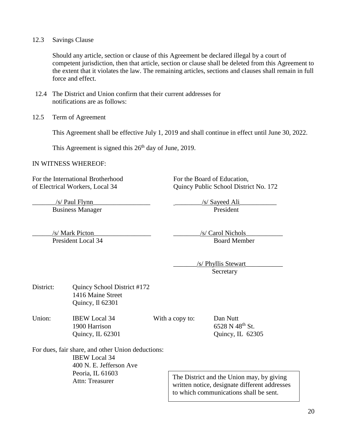#### 12.3 Savings Clause

Should any article, section or clause of this Agreement be declared illegal by a court of competent jurisdiction, then that article, section or clause shall be deleted from this Agreement to the extent that it violates the law. The remaining articles, sections and clauses shall remain in full force and effect.

- 12.4 The District and Union confirm that their current addresses for notifications are as follows:
- 12.5 Term of Agreement

This Agreement shall be effective July 1, 2019 and shall continue in effect until June 30, 2022.

This Agreement is signed this  $26<sup>th</sup>$  day of June, 2019.

#### IN WITNESS WHEREOF:

For the International Brotherhood For the Board of Education,

of Electrical Workers, Local 34 Quincy Public School District No. 172

 $\frac{s}{\sin \theta}$  /s/ Sayeed Ali Business Manager President

\_\_\_\_\_\_/s/ Mark Picton\_\_\_\_\_\_\_\_\_\_\_\_\_\_\_\_\_ \_\_\_\_\_\_\_\_/s/ Carol Nichols\_\_\_\_\_\_\_\_\_\_\_

President Local 34 Board Member

 \_\_\_\_\_\_\_/s/ Phyllis Stewart\_\_\_\_\_\_\_\_\_\_\_ **Secretary** 

District: Quincy School District #172 1416 Maine Street Quincy, Il 62301 Union: **IBEW Local 34** With a copy to: Dan Nutt  $1900$  Harrison 6528 N 48<sup>th</sup> St. Quincy, IL 62301 Quincy, IL 62305 For dues, fair share, and other Union deductions: IBEW Local 34 400 N. E. Jefferson Ave Peoria, IL 61603 Attn: Treasurer The District and the Union may, by giving

written notice, designate different addresses to which communications shall be sent.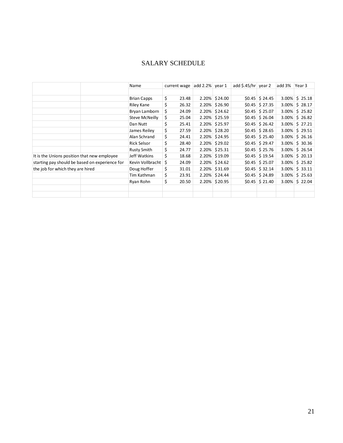## SALARY SCHEDULE

|                                                |  | Name               | current wage | $ add 2.2% $ year 1 |               | add \$.45/hr $\vert$ year 2 |                       | add 3% | Year 3            |
|------------------------------------------------|--|--------------------|--------------|---------------------|---------------|-----------------------------|-----------------------|--------|-------------------|
|                                                |  |                    |              |                     |               |                             |                       |        |                   |
|                                                |  | <b>Brian Capps</b> | \$<br>23.48  |                     | 2.20% \$24.00 |                             | $$0.45$ \$ 24.45      |        | $3.00\%$ \$ 25.18 |
|                                                |  | Riley Kane         | \$<br>26.32  |                     | 2.20% \$26.90 |                             | $$0.45$ \$ 27.35      |        | 3.00% \$28.17     |
|                                                |  | Bryan Lamborn      | \$<br>24.09  |                     | 2.20% \$24.62 |                             | $$0.45 \vert $25.07$  |        | $3.00\%$ \$ 25.82 |
|                                                |  | Steve McNeilly     | \$<br>25.04  |                     | 2.20% \$25.59 |                             | $$0.45$ \$ 26.04      |        | $3.00\%$ \$ 26.82 |
|                                                |  | Dan Nutt           | \$<br>25.41  |                     | 2.20% \$25.97 |                             | $$0.45$ \$ 26.42      |        | $3.00\%$ \$ 27.21 |
|                                                |  | James Reilev       | \$<br>27.59  |                     | 2.20% \$28.20 |                             | $$0.45$ \$ 28.65      |        | $3.00\%$ \$ 29.51 |
|                                                |  | Alan Schrand       | \$<br>24.41  |                     | 2.20% \$24.95 |                             | $$0.45$ \$ 25.40      |        | $3.00\%$ \$ 26.16 |
|                                                |  | Rick Selsor        | \$<br>28.40  |                     | 2.20% \$29.02 |                             | $$0.45 \vert $29.47$  |        | $3.00\%$ \$ 30.36 |
|                                                |  | <b>Rusty Smith</b> | \$<br>24.77  |                     | 2.20% \$25.31 |                             | $$0.45$ \$ 25.76      |        | $3.00\%$ \$ 26.54 |
| It is the Unions position that new employee    |  | Jeff Watkins       | \$<br>18.68  |                     | 2.20% \$19.09 |                             | $$0.45$ \$19.54       |        | $3.00\%$ \$ 20.13 |
| starting pay should be based on experience for |  | Kevin Vollbracht   | \$<br>24.09  |                     | 2.20% \$24.62 |                             | $$0.45$ \$ 25.07      |        | $3.00\%$ \$ 25.82 |
| the job for which they are hired               |  | Doug Hoffer        | \$<br>31.01  |                     | 2.20% \$31.69 |                             | $$0.45 \vert $32.14$$ |        | $3.00\%$ \$ 33.11 |
|                                                |  | Tim Kathman        | \$<br>23.91  |                     | 2.20% \$24.44 |                             | $$0.45 \vert $24.89$  |        | $3.00\%$ \$ 25.63 |
|                                                |  | Ryan Rohn          | \$<br>20.50  |                     | 2.20% \$20.95 |                             | $$0.45 \mid $21.40$   |        | $3.00\%$ \$ 22.04 |
|                                                |  |                    |              |                     |               |                             |                       |        |                   |
|                                                |  |                    |              |                     |               |                             |                       |        |                   |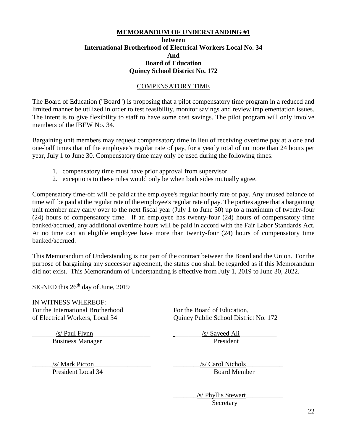#### **MEMORANDUM OF UNDERSTANDING #1 between International Brotherhood of Electrical Workers Local No. 34 And Board of Education Quincy School District No. 172**

#### COMPENSATORY TIME

The Board of Education ("Board") is proposing that a pilot compensatory time program in a reduced and limited manner be utilized in order to test feasibility, monitor savings and review implementation issues. The intent is to give flexibility to staff to have some cost savings. The pilot program will only involve members of the IBEW No. 34.

Bargaining unit members may request compensatory time in lieu of receiving overtime pay at a one and one-half times that of the employee's regular rate of pay, for a yearly total of no more than 24 hours per year, July 1 to June 30. Compensatory time may only be used during the following times:

- 1. compensatory time must have prior approval from supervisor.
- 2. exceptions to these rules would only be when both sides mutually agree.

Compensatory time-off will be paid at the employee's regular hourly rate of pay. Any unused balance of time will be paid at the regular rate of the employee's regular rate of pay. The parties agree that a bargaining unit member may carry over to the next fiscal year (July 1 to June 30) up to a maximum of twenty-four (24) hours of compensatory time. If an employee has twenty-four (24) hours of compensatory time banked/accrued, any additional overtime hours will be paid in accord with the Fair Labor Standards Act. At no time can an eligible employee have more than twenty-four (24) hours of compensatory time banked/accrued.

This Memorandum of Understanding is not part of the contract between the Board and the Union. For the purpose of bargaining any successor agreement, the status quo shall be regarded as if this Memorandum did not exist. This Memorandum of Understanding is effective from July 1, 2019 to June 30, 2022.

SIGNED this  $26<sup>th</sup>$  day of June, 2019

IN WITNESS WHEREOF: For the International Brotherhood For the Board of Education,

of Electrical Workers, Local 34 Quincy Public School District No. 172

 $\frac{s}{s}$  Paul Flynn Business Manager President

\_\_\_\_\_\_/s/ Mark Picton\_\_\_\_\_\_\_\_\_\_\_\_\_\_\_\_\_ \_\_\_\_\_\_\_\_/s/ Carol Nichols\_\_\_\_\_\_\_\_\_\_\_

President Local 34 Board Member

 \_\_\_\_\_\_\_/s/ Phyllis Stewart\_\_\_\_\_\_\_\_\_\_\_ **Secretary**